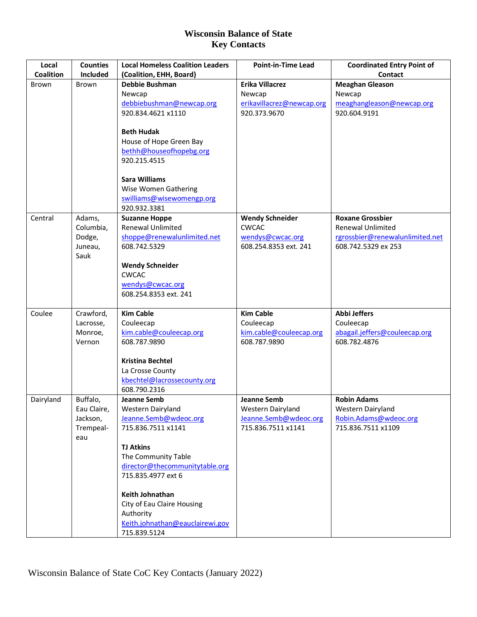| Local            | <b>Counties</b>   | <b>Local Homeless Coalition Leaders</b>          | <b>Point-in-Time Lead</b>                 | <b>Coordinated Entry Point of</b>                      |
|------------------|-------------------|--------------------------------------------------|-------------------------------------------|--------------------------------------------------------|
| <b>Coalition</b> | Included          | (Coalition, EHH, Board)                          |                                           | Contact                                                |
| <b>Brown</b>     | <b>Brown</b>      | Debbie Bushman                                   | Erika Villacrez                           | <b>Meaghan Gleason</b>                                 |
|                  |                   | Newcap                                           | Newcap                                    | Newcap                                                 |
|                  |                   | debbiebushman@newcap.org                         | erikavillacrez@newcap.org                 | meaghangleason@newcap.org                              |
|                  |                   | 920.834.4621 x1110                               | 920.373.9670                              | 920.604.9191                                           |
|                  |                   |                                                  |                                           |                                                        |
|                  |                   | <b>Beth Hudak</b>                                |                                           |                                                        |
|                  |                   | House of Hope Green Bay                          |                                           |                                                        |
|                  |                   | bethh@houseofhopebg.org                          |                                           |                                                        |
|                  |                   | 920.215.4515                                     |                                           |                                                        |
|                  |                   |                                                  |                                           |                                                        |
|                  |                   | <b>Sara Williams</b>                             |                                           |                                                        |
|                  |                   | Wise Women Gathering                             |                                           |                                                        |
|                  |                   | swilliams@wisewomengp.org                        |                                           |                                                        |
|                  |                   | 920.932.3381                                     |                                           |                                                        |
| Central          | Adams,            | <b>Suzanne Hoppe</b><br><b>Renewal Unlimited</b> | <b>Wendy Schneider</b>                    | <b>Roxane Grossbier</b>                                |
|                  | Columbia,         |                                                  | <b>CWCAC</b>                              | <b>Renewal Unlimited</b>                               |
|                  | Dodge,<br>Juneau, | shoppe@renewalunlimited.net<br>608.742.5329      | wendys@cwcac.org<br>608.254.8353 ext. 241 | rgrossbier@renewalunlimited.net<br>608.742.5329 ex 253 |
|                  | Sauk              |                                                  |                                           |                                                        |
|                  |                   | <b>Wendy Schneider</b>                           |                                           |                                                        |
|                  |                   | <b>CWCAC</b>                                     |                                           |                                                        |
|                  |                   | wendys@cwcac.org                                 |                                           |                                                        |
|                  |                   | 608.254.8353 ext. 241                            |                                           |                                                        |
|                  |                   |                                                  |                                           |                                                        |
| Coulee           | Crawford,         | <b>Kim Cable</b>                                 | <b>Kim Cable</b>                          | <b>Abbi Jeffers</b>                                    |
|                  | Lacrosse,         | Couleecap                                        | Couleecap                                 | Couleecap                                              |
|                  | Monroe,           | kim.cable@couleecap.org                          | kim.cable@couleecap.org                   | abagail.jeffers@couleecap.org                          |
|                  | Vernon            | 608.787.9890                                     | 608.787.9890                              | 608.782.4876                                           |
|                  |                   |                                                  |                                           |                                                        |
|                  |                   | <b>Kristina Bechtel</b>                          |                                           |                                                        |
|                  |                   | La Crosse County                                 |                                           |                                                        |
|                  |                   | kbechtel@lacrossecounty.org                      |                                           |                                                        |
|                  |                   | 608.790.2316                                     |                                           |                                                        |
| Dairyland        | Buffalo,          | Jeanne Semb                                      | Jeanne Semb                               | <b>Robin Adams</b>                                     |
|                  | Eau Claire,       | Western Dairyland                                | Western Dairyland                         | Western Dairyland                                      |
|                  | Jackson,          | Jeanne.Semb@wdeoc.org                            | Jeanne.Semb@wdeoc.org                     | Robin.Adams@wdeoc.org                                  |
|                  | Trempeal-         | 715.836.7511 x1141                               | 715.836.7511 x1141                        | 715.836.7511 x1109                                     |
|                  | eau               |                                                  |                                           |                                                        |
|                  |                   | <b>TJ Atkins</b>                                 |                                           |                                                        |
|                  |                   | The Community Table                              |                                           |                                                        |
|                  |                   | director@thecommunitytable.org                   |                                           |                                                        |
|                  |                   | 715.835.4977 ext 6                               |                                           |                                                        |
|                  |                   |                                                  |                                           |                                                        |
|                  |                   | Keith Johnathan                                  |                                           |                                                        |
|                  |                   | City of Eau Claire Housing                       |                                           |                                                        |
|                  |                   | Authority<br>Keith.johnathan@eauclairewi.gov     |                                           |                                                        |
|                  |                   | 715.839.5124                                     |                                           |                                                        |
|                  |                   |                                                  |                                           |                                                        |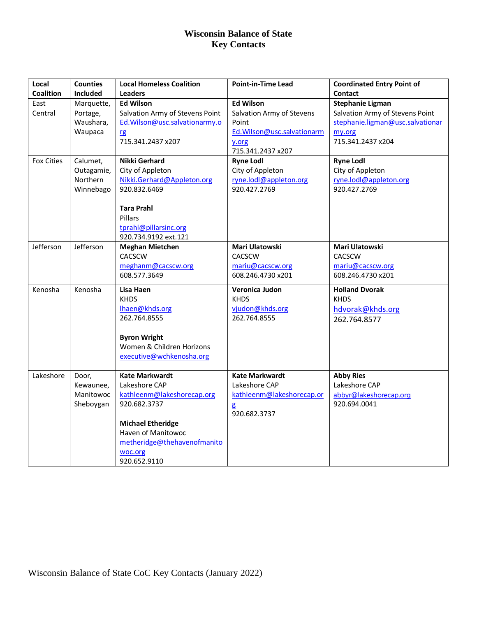| Local             | <b>Counties</b>       | <b>Local Homeless Coalition</b>  | <b>Point-in-Time Lead</b>             | <b>Coordinated Entry Point of</b>          |
|-------------------|-----------------------|----------------------------------|---------------------------------------|--------------------------------------------|
| <b>Coalition</b>  | <b>Included</b>       | <b>Leaders</b>                   |                                       | Contact                                    |
| East              | Marquette,            | <b>Ed Wilson</b>                 | <b>Ed Wilson</b>                      | <b>Stephanie Ligman</b>                    |
| Central           | Portage,<br>Waushara, | Salvation Army of Stevens Point  | Salvation Army of Stevens<br>Point    | Salvation Army of Stevens Point            |
|                   | Waupaca               | Ed. Wilson@usc.salvationarmy.o   | Ed. Wilson@usc.salvationarm           | stephanie.ligman@usc.salvationar<br>my.org |
|                   |                       | rg<br>715.341.2437 x207          | y.org                                 | 715.341.2437 x204                          |
|                   |                       |                                  | 715.341.2437 x207                     |                                            |
| <b>Fox Cities</b> | Calumet,              | Nikki Gerhard                    | <b>Ryne Lodl</b>                      | <b>Ryne Lodl</b>                           |
|                   | Outagamie,            | City of Appleton                 | City of Appleton                      | City of Appleton                           |
|                   | Northern              | Nikki.Gerhard@Appleton.org       | ryne.lodl@appleton.org                | ryne.lodl@appleton.org                     |
|                   | Winnebago             | 920.832.6469                     | 920.427.2769                          | 920.427.2769                               |
|                   |                       |                                  |                                       |                                            |
|                   |                       | <b>Tara Prahl</b>                |                                       |                                            |
|                   |                       | Pillars                          |                                       |                                            |
|                   |                       | tprahl@pillarsinc.org            |                                       |                                            |
|                   |                       | 920.734.9192 ext.121             |                                       |                                            |
| Jefferson         | Jefferson             | <b>Meghan Mietchen</b><br>CACSCW | Mari Ulatowski                        | Mari Ulatowski                             |
|                   |                       | meghanm@cacscw.org               | <b>CACSCW</b>                         | <b>CACSCW</b>                              |
|                   |                       | 608.577.3649                     | mariu@cacscw.org<br>608.246.4730 x201 | mariu@cacscw.org<br>608.246.4730 x201      |
|                   |                       |                                  |                                       |                                            |
| Kenosha           | Kenosha               | Lisa Haen                        | Veronica Judon                        | <b>Holland Dvorak</b>                      |
|                   |                       | <b>KHDS</b>                      | <b>KHDS</b>                           | <b>KHDS</b>                                |
|                   |                       | lhaen@khds.org<br>262.764.8555   | vjudon@khds.org<br>262.764.8555       | hdvorak@khds.org                           |
|                   |                       |                                  |                                       | 262.764.8577                               |
|                   |                       | <b>Byron Wright</b>              |                                       |                                            |
|                   |                       | Women & Children Horizons        |                                       |                                            |
|                   |                       | executive@wchkenosha.org         |                                       |                                            |
|                   |                       |                                  |                                       |                                            |
| Lakeshore         | Door,                 | <b>Kate Markwardt</b>            | <b>Kate Markwardt</b>                 | <b>Abby Ries</b>                           |
|                   | Kewaunee,             | Lakeshore CAP                    | Lakeshore CAP                         | Lakeshore CAP                              |
|                   | Manitowoc             | kathleenm@lakeshorecap.org       | kathleenm@lakeshorecap.or             | abbyr@lakeshorecap.org                     |
|                   | Sheboygan             | 920.682.3737                     | g                                     | 920.694.0041                               |
|                   |                       |                                  | 920.682.3737                          |                                            |
|                   |                       | <b>Michael Etheridge</b>         |                                       |                                            |
|                   |                       | Haven of Manitowoc               |                                       |                                            |
|                   |                       | metheridge@thehavenofmanito      |                                       |                                            |
|                   |                       | woc.org                          |                                       |                                            |
|                   |                       | 920.652.9110                     |                                       |                                            |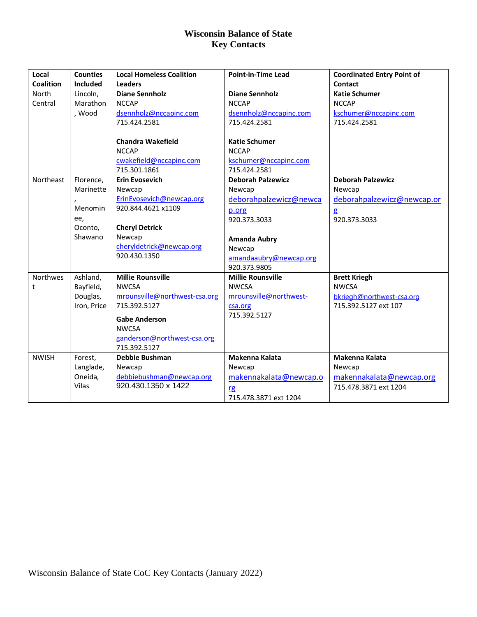| Local            | <b>Counties</b> | <b>Local Homeless Coalition</b> | <b>Point-in-Time Lead</b> | <b>Coordinated Entry Point of</b> |
|------------------|-----------------|---------------------------------|---------------------------|-----------------------------------|
| <b>Coalition</b> | <b>Included</b> | <b>Leaders</b>                  |                           | Contact                           |
| North            | Lincoln,        | <b>Diane Sennholz</b>           | <b>Diane Sennholz</b>     | <b>Katie Schumer</b>              |
| Central          | Marathon        | <b>NCCAP</b>                    | <b>NCCAP</b>              | <b>NCCAP</b>                      |
|                  | , Wood          | dsennholz@nccapinc.com          | dsennholz@nccapinc.com    | kschumer@nccapinc.com             |
|                  |                 | 715.424.2581                    | 715.424.2581              | 715.424.2581                      |
|                  |                 | <b>Chandra Wakefield</b>        | <b>Katie Schumer</b>      |                                   |
|                  |                 | <b>NCCAP</b>                    | <b>NCCAP</b>              |                                   |
|                  |                 | cwakefield@nccapinc.com         | kschumer@nccapinc.com     |                                   |
|                  |                 | 715.301.1861                    | 715.424.2581              |                                   |
| Northeast        | Florence,       | <b>Erin Evosevich</b>           | <b>Deborah Palzewicz</b>  | <b>Deborah Palzewicz</b>          |
|                  | Marinette       | Newcap                          | Newcap                    | Newcap                            |
|                  |                 | ErinEvosevich@newcap.org        | deborahpalzewicz@newca    | deborahpalzewicz@newcap.or        |
|                  | Menomin         | 920.844.4621 x1109              | p.org                     | $\mathbf{g}$                      |
|                  | ee,             |                                 | 920.373.3033              | 920.373.3033                      |
|                  | Oconto,         | <b>Cheryl Detrick</b>           |                           |                                   |
|                  | Shawano         | Newcap                          | <b>Amanda Aubry</b>       |                                   |
|                  |                 | cheryldetrick@newcap.org        | Newcap                    |                                   |
|                  |                 | 920.430.1350                    | amandaaubry@newcap.org    |                                   |
|                  |                 |                                 | 920.373.9805              |                                   |
| Northwes         | Ashland,        | <b>Millie Rounsville</b>        | <b>Millie Rounsville</b>  | <b>Brett Kriegh</b>               |
| t                | Bayfield,       | <b>NWCSA</b>                    | <b>NWCSA</b>              | <b>NWCSA</b>                      |
|                  | Douglas,        | mrounsville@northwest-csa.org   | mrounsville@northwest-    | bkriegh@northwest-csa.org         |
|                  | Iron, Price     | 715.392.5127                    | csa.org                   | 715.392.5127 ext 107              |
|                  |                 | <b>Gabe Anderson</b>            | 715.392.5127              |                                   |
|                  |                 | <b>NWCSA</b>                    |                           |                                   |
|                  |                 | ganderson@northwest-csa.org     |                           |                                   |
|                  |                 | 715.392.5127                    |                           |                                   |
| <b>NWISH</b>     | Forest,         | Debbie Bushman                  | Makenna Kalata            | Makenna Kalata                    |
|                  | Langlade,       | Newcap                          | Newcap                    | Newcap                            |
|                  | Oneida,         | debbiebushman@newcap.org        | makennakalata@newcap.o    | makennakalata@newcap.org          |
|                  | Vilas           | 920.430.1350 x 1422             | rg                        | 715.478.3871 ext 1204             |
|                  |                 |                                 | 715.478.3871 ext 1204     |                                   |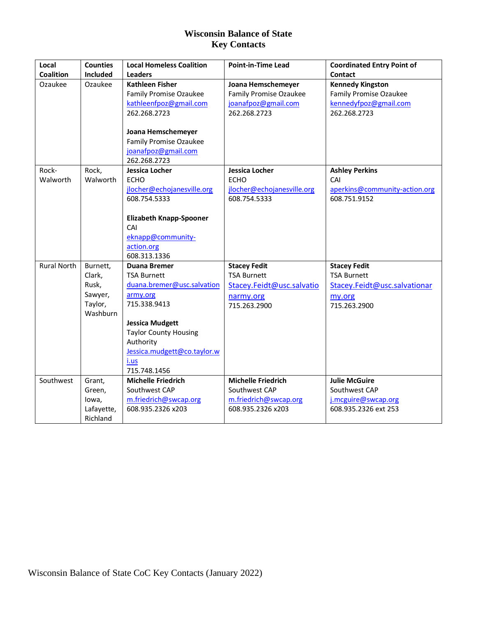| Local<br><b>Coalition</b> | <b>Counties</b><br>Included                                   | <b>Local Homeless Coalition</b><br><b>Leaders</b>                                                                                                                                                                                 | <b>Point-in-Time Lead</b>                                                                           | <b>Coordinated Entry Point of</b><br>Contact                                                        |
|---------------------------|---------------------------------------------------------------|-----------------------------------------------------------------------------------------------------------------------------------------------------------------------------------------------------------------------------------|-----------------------------------------------------------------------------------------------------|-----------------------------------------------------------------------------------------------------|
| Ozaukee                   | Ozaukee                                                       | <b>Kathleen Fisher</b><br>Family Promise Ozaukee<br>kathleenfpoz@gmail.com<br>262.268.2723                                                                                                                                        | Joana Hemschemeyer<br><b>Family Promise Ozaukee</b><br>joanafpoz@gmail.com<br>262.268.2723          | <b>Kennedy Kingston</b><br><b>Family Promise Ozaukee</b><br>kennedyfpoz@gmail.com<br>262.268.2723   |
|                           |                                                               | Joana Hemschemeyer<br><b>Family Promise Ozaukee</b><br>joanafpoz@gmail.com<br>262.268.2723                                                                                                                                        |                                                                                                     |                                                                                                     |
| Rock-<br>Walworth         | Rock,<br>Walworth                                             | Jessica Locher<br><b>ECHO</b><br>jlocher@echojanesville.org<br>608.754.5333<br><b>Elizabeth Knapp-Spooner</b><br>CAI<br>eknapp@community-<br>action.org<br>608.313.1336                                                           | <b>Jessica Locher</b><br><b>ECHO</b><br>jlocher@echojanesville.org<br>608.754.5333                  | <b>Ashley Perkins</b><br>CAI<br>aperkins@community-action.org<br>608.751.9152                       |
| <b>Rural North</b>        | Burnett,<br>Clark,<br>Rusk,<br>Sawyer,<br>Taylor,<br>Washburn | <b>Duana Bremer</b><br><b>TSA Burnett</b><br>duana.bremer@usc.salvation<br>army.org<br>715.338.9413<br><b>Jessica Mudgett</b><br><b>Taylor County Housing</b><br>Authority<br>Jessica.mudgett@co.taylor.w<br>i.us<br>715.748.1456 | <b>Stacey Fedit</b><br><b>TSA Burnett</b><br>Stacey.Feidt@usc.salvatio<br>narmy.org<br>715.263.2900 | <b>Stacey Fedit</b><br><b>TSA Burnett</b><br>Stacey.Feidt@usc.salvationar<br>my.org<br>715.263.2900 |
| Southwest                 | Grant,<br>Green,<br>lowa,<br>Lafayette,<br>Richland           | <b>Michelle Friedrich</b><br>Southwest CAP<br>m.friedrich@swcap.org<br>608.935.2326 x203                                                                                                                                          | <b>Michelle Friedrich</b><br>Southwest CAP<br>m.friedrich@swcap.org<br>608.935.2326 x203            | <b>Julie McGuire</b><br>Southwest CAP<br>j.mcguire@swcap.org<br>608.935.2326 ext 253                |